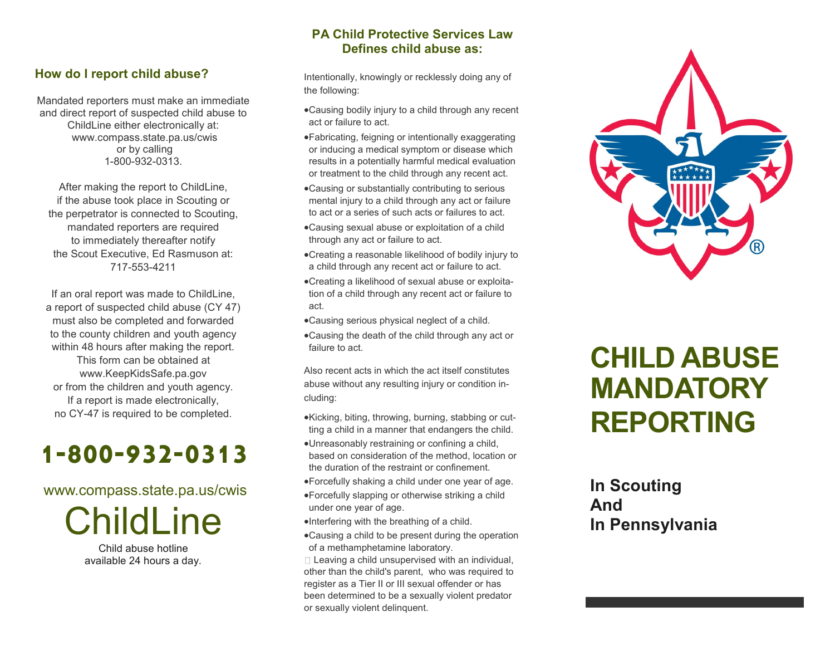### **How do I report child abuse?**

Mandated reporters must make an immediate and direct report of suspected child abuse to ChildLine either electronically at: www.compass.state.pa.us/cwis or by calling 1-800-932-0313.

After making the report to ChildLine, if the abuse took place in Scouting or the perpetrator is connected to Scouting, mandated reporters are required to immediately thereafter notify the Scout Executive, Ed Rasmuson at: 717-553-4211

If an oral report was made to ChildLine, a report of suspected child abuse (CY 47) must also be completed and forwarded to the county children and youth agency within 48 hours after making the report. This form can be obtained at www.KeepKidsSafe.pa.gov or from the children and youth agency. If a report is made electronically, no CY-47 is required to be completed.

# **1-800-932-0313**

### www.compass.state.pa.us/cwis

**ChildLine** 

Child abuse hotline available 24 hours a day.

## **PA Child Protective Services Law Defines child abuse as:**

Intentionally, knowingly or recklessly doing any of the following:

- Causing bodily injury to a child through any recent act or failure to act.
- Fabricating, feigning or intentionally exaggerating or inducing a medical symptom or disease which results in a potentially harmful medical evaluation or treatment to the child through any recent act.
- Causing or substantially contributing to serious mental injury to a child through any act or failure to act or a series of such acts or failures to act.
- Causing sexual abuse or exploitation of a child through any act or failure to act.
- Creating a reasonable likelihood of bodily injury to a child through any recent act or failure to act.
- Creating a likelihood of sexual abuse or exploitation of a child through any recent act or failure to act.
- Causing serious physical neglect of a child.
- Causing the death of the child through any act or failure to act.

Also recent acts in which the act itself constitutes abuse without any resulting injury or condition including:

- Kicking, biting, throwing, burning, stabbing or cutting a child in a manner that endangers the child.
- Unreasonably restraining or confining a child, based on consideration of the method, location or the duration of the restraint or confinement.
- Forcefully shaking a child under one year of age.
- Forcefully slapping or otherwise striking a child under one year of age.
- Interfering with the breathing of a child.
- Causing a child to be present during the operation of a methamphetamine laboratory.

 $\Box$  Leaving a child unsupervised with an individual, other than the child's parent, who was required to register as a Tier II or III sexual offender or has been determined to be a sexually violent predator or sexually violent delinquent.



# **CHILD ABUSE MANDATORY REPORTING**

# **In Scouting And In Pennsylvania**